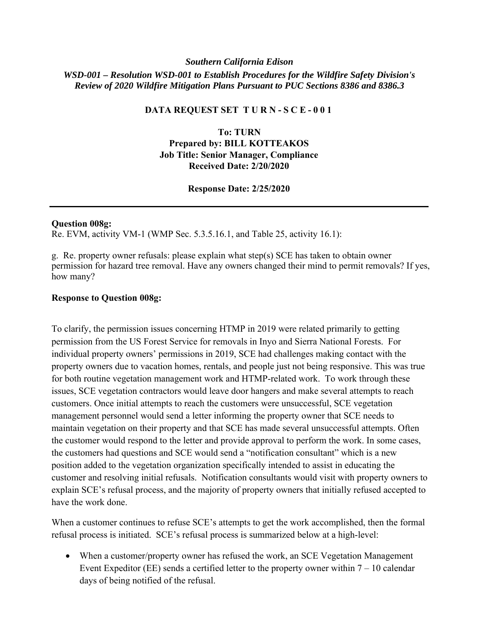# *Southern California Edison WSD-001 – Resolution WSD-001 to Establish Procedures for the Wildfire Safety Division's Review of 2020 Wildfire Mitigation Plans Pursuant to PUC Sections 8386 and 8386.3*

## **DATA REQUEST SET T U R N - S C E - 0 0 1**

**To: TURN Prepared by: BILL KOTTEAKOS Job Title: Senior Manager, Compliance Received Date: 2/20/2020** 

### **Response Date: 2/25/2020**

#### **Question 008g:**

Re. EVM, activity VM-1 (WMP Sec. 5.3.5.16.1, and Table 25, activity 16.1):

g. Re. property owner refusals: please explain what step(s) SCE has taken to obtain owner permission for hazard tree removal. Have any owners changed their mind to permit removals? If yes, how many?

### **Response to Question 008g:**

To clarify, the permission issues concerning HTMP in 2019 were related primarily to getting permission from the US Forest Service for removals in Inyo and Sierra National Forests. For individual property owners' permissions in 2019, SCE had challenges making contact with the property owners due to vacation homes, rentals, and people just not being responsive. This was true for both routine vegetation management work and HTMP-related work. To work through these issues, SCE vegetation contractors would leave door hangers and make several attempts to reach customers. Once initial attempts to reach the customers were unsuccessful, SCE vegetation management personnel would send a letter informing the property owner that SCE needs to maintain vegetation on their property and that SCE has made several unsuccessful attempts. Often the customer would respond to the letter and provide approval to perform the work. In some cases, the customers had questions and SCE would send a "notification consultant" which is a new position added to the vegetation organization specifically intended to assist in educating the customer and resolving initial refusals. Notification consultants would visit with property owners to explain SCE's refusal process, and the majority of property owners that initially refused accepted to have the work done.

When a customer continues to refuse SCE's attempts to get the work accomplished, then the formal refusal process is initiated. SCE's refusal process is summarized below at a high-level:

 When a customer/property owner has refused the work, an SCE Vegetation Management Event Expeditor (EE) sends a certified letter to the property owner within  $7 - 10$  calendar days of being notified of the refusal.